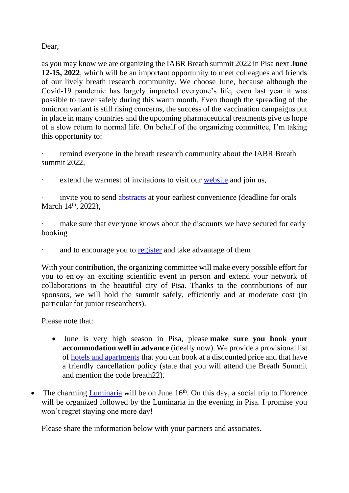Dear,

as you may know we are organizing the IABR Breath summit 2022 in Pisa next **June 12-15, 2022**, which will be an important opportunity to meet colleagues and friends of our lively breath research community. We choose June, because although the Covid-19 pandemic has largely impacted everyone's life, even last year it was possible to travel safely during this warm month. Even though the spreading of the omicron variant is still rising concerns, the success of the vaccination campaigns put in place in many countries and the upcoming pharmaceutical treatments give us hope of a slow return to normal life. On behalf of the organizing committee, I'm taking this opportunity to:

remind everyone in the breath research community about the IABR Breath summit 2022,

extend the warmest of invitations to visit our [website](https://iabr.dcci.unipi.it/) and join us,

invite you to send [abstracts](https://iabr.dcci.unipi.it/abstracts.html) at your earliest convenience (deadline for orals March  $14<sup>th</sup>$ , 2022),

make sure that everyone knows about the discounts we have secured for early booking

and to encourage you to [register](https://iabr.dcci.unipi.it/registration.html) and take advantage of them

With your contribution, the organizing committee will make every possible effort for you to enjoy an exciting scientific event in person and extend your network of collaborations in the beautiful city of Pisa. Thanks to the contributions of our sponsors, we will hold the summit safely, efficiently and at moderate cost (in particular for junior researchers).

Please note that:

- June is very high season in Pisa, please **make sure you book your accommodation well in advance** (ideally now). We provide a provisional list of [hotels and apartments](https://iabr.dcci.unipi.it/venue-menu/accommodation.html) that you can book at a discounted price and that have a friendly cancellation policy (state that you will attend the Breath Summit and mention the code breath22).
- The charming [Luminaria](https://iabr.dcci.unipi.it/venue-menu/social-event.html) will be on June  $16<sup>th</sup>$ . On this day, a social trip to Florence will be organized followed by the Luminaria in the evening in Pisa. I promise you won't regret staying one more day!

Please share the information below with your partners and associates.